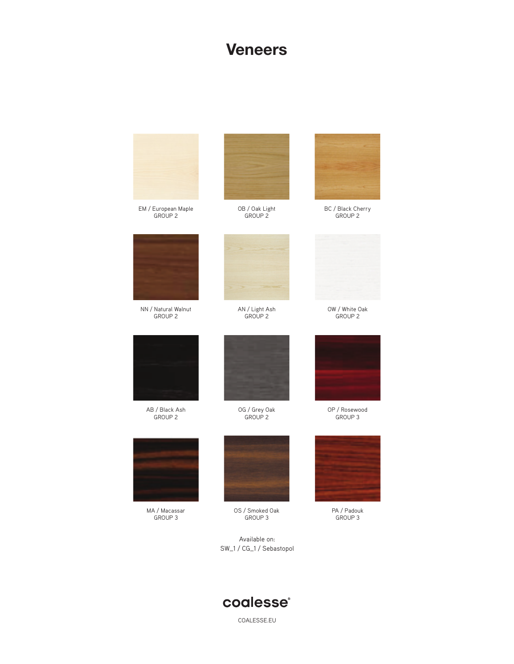#### **Veneers**



### coalesse®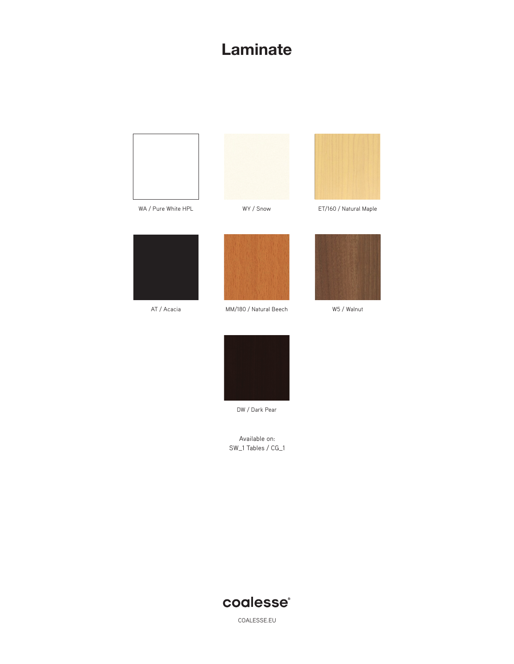## **Laminate**







WA / Pure White HPL **WY / Snow** ET/160 / Natural Maple



AT / Acacia



MM/180 / Natural Beech W5 / Walnut





DW / Dark Pear

Available on: SW\_1 Tables / CG\_1

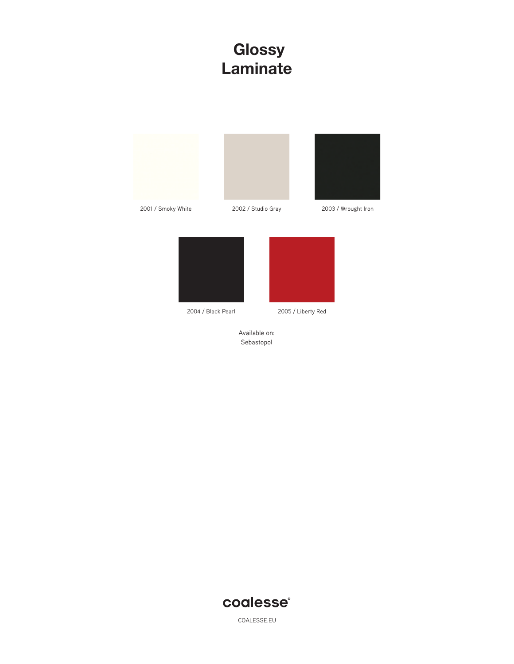### **Glossy Laminate**



2004 / Black Pearl 2005 / Liberty Red

Available on: Sebastopol

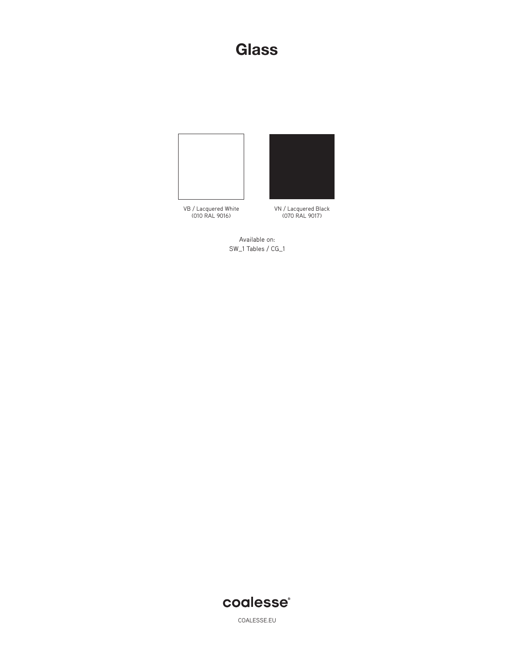#### **Glass**







VN / Lacquered Black (070 RAL 9017)

Available on: SW\_1 Tables / CG\_1

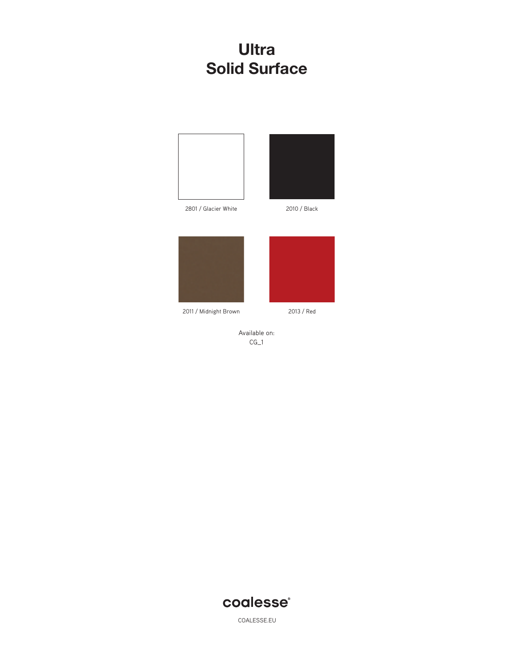### **Ultra Solid Surface**





2801 / Glacier White 2010 / Black





2011 / Midnight Brown 2013 / Red



Available on: CG\_1

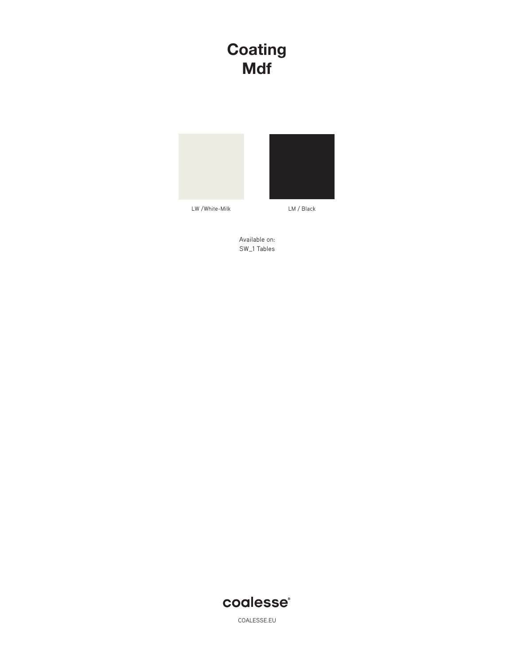## **Coating Mdf**



Available on: SW\_1 Tables